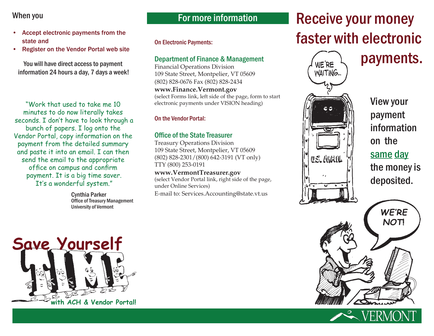## When you

- • Accept electronic payments from the state and
- • Register on the Vendor Portal web site

You will have direct access to payment information 24 hours a day, 7 days a week!

"Work that used to take me 10 minutes to do now literally takes seconds. I don't have to look through a bunch of papers. I log onto the Vendor Portal, copy information on the payment from the detailed summary and paste it into an email. I can then send the email to the appropriate office on campus and confirm payment. It is a big time saver. It's a wonderful system."

> Cynthia Parker Office of Treasury Management University of Vermont

# For more information

On Electronic Payments:

## Department of Finance & Management

Financial Operations Division 109 State Street, Montpelier, VT 05609 (802) 828-0676 Fax (802) 828-2434

**www.Finance.Vermont.gov** (select Forms link, left side of the page, form to start electronic payments under VISION heading)

#### On the Vendor Portal:

#### Office of the State Treasurer

Treasury Operations Division 109 State Street, Montpelier, VT 05609 (802) 828-2301/(800) 642-3191 (VT only) TTY (800) 253-0191

#### **www.VermontTreasurer.gov**

(select Vendor Portal link, right side of the page, under Online Services)

E-mail to: Services.Accounting@state.vt.us

# Receive your money faster with electronic

 $\mu_{\text{ERE}}$   $\lambda$  payments. WAITING... U.S. WIATE

View your payment information on the same day the money is deposited.